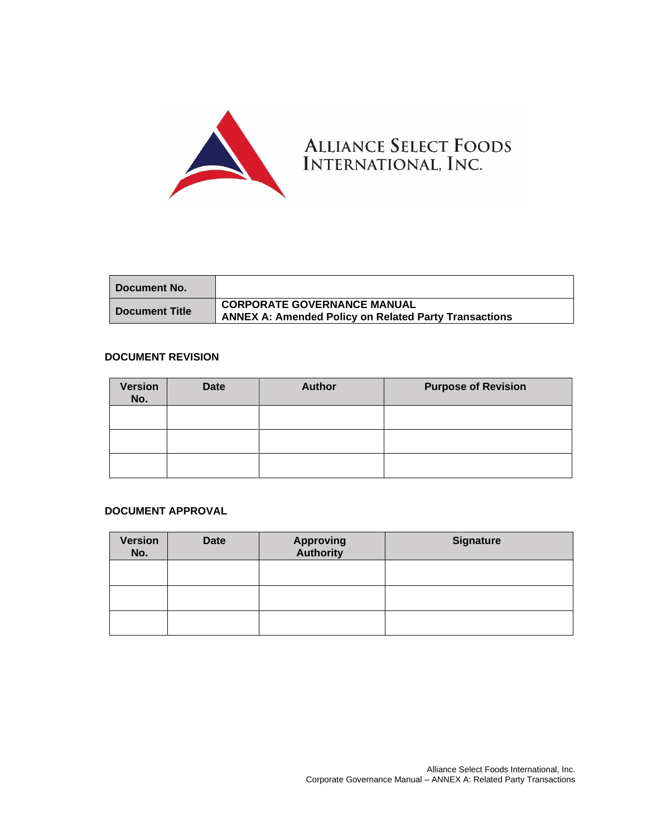

| Document No.          |                                                              |
|-----------------------|--------------------------------------------------------------|
| <b>Document Title</b> | <b>CORPORATE GOVERNANCE MANUAL</b>                           |
|                       | <b>ANNEX A: Amended Policy on Related Party Transactions</b> |

## **DOCUMENT REVISION**

| <b>Version</b><br>No. | <b>Date</b> | <b>Author</b> | <b>Purpose of Revision</b> |
|-----------------------|-------------|---------------|----------------------------|
|                       |             |               |                            |
|                       |             |               |                            |
|                       |             |               |                            |

#### **DOCUMENT APPROVAL**

| <b>Version</b><br>No. | <b>Date</b> | <b>Approving</b><br><b>Authority</b> | <b>Signature</b> |
|-----------------------|-------------|--------------------------------------|------------------|
|                       |             |                                      |                  |
|                       |             |                                      |                  |
|                       |             |                                      |                  |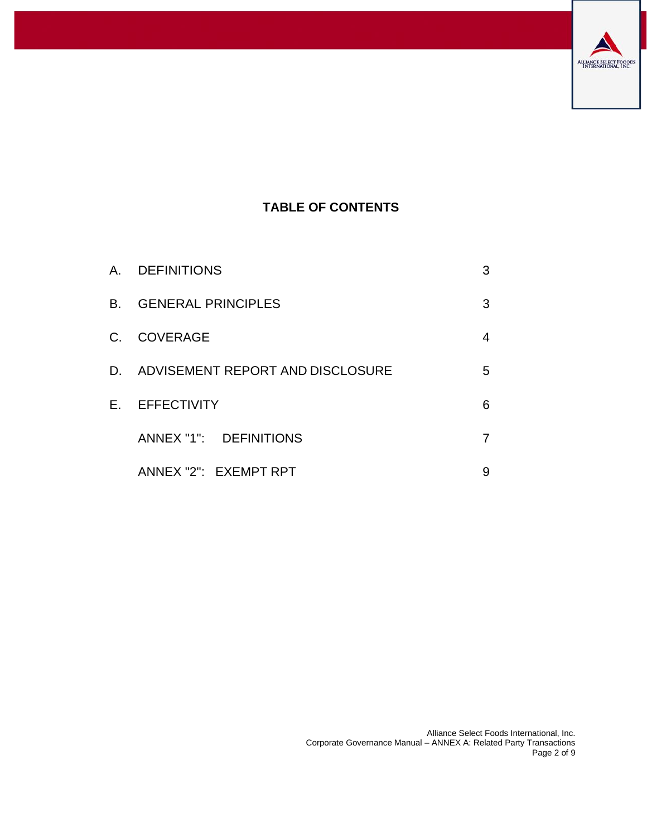

# **TABLE OF CONTENTS**

| A. DEFINITIONS                      |   |  |  |
|-------------------------------------|---|--|--|
| <b>B. GENERAL PRINCIPLES</b>        |   |  |  |
| C. COVERAGE                         | 4 |  |  |
| D. ADVISEMENT REPORT AND DISCLOSURE | 5 |  |  |
| E. EFFECTIVITY                      | 6 |  |  |
| ANNEX "1": DEFINITIONS              |   |  |  |
| ANNEX "2": EXEMPT RPT               | 9 |  |  |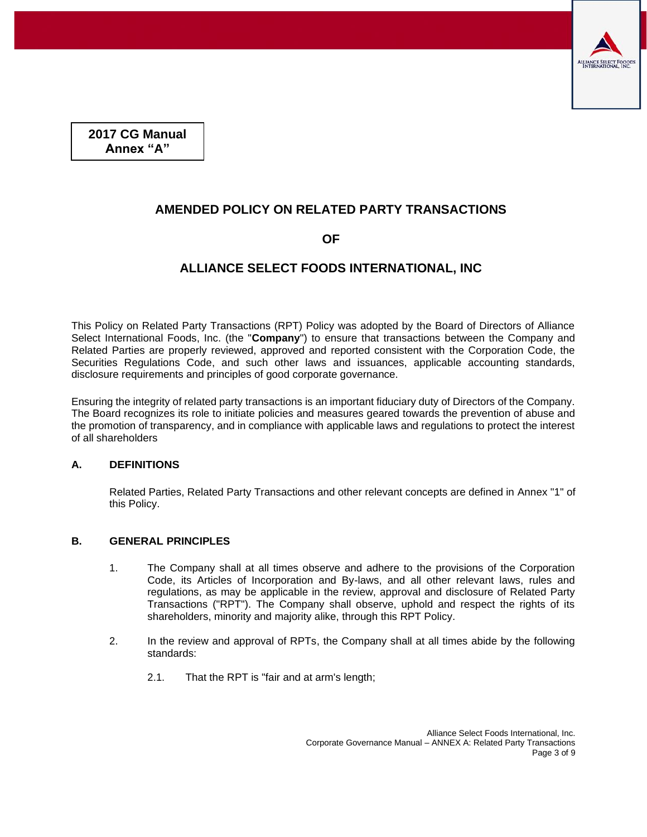

**2017 CG Manual Annex "A"**

# **AMENDED POLICY ON RELATED PARTY TRANSACTIONS**

## **OF**

# **ALLIANCE SELECT FOODS INTERNATIONAL, INC**

This Policy on Related Party Transactions (RPT) Policy was adopted by the Board of Directors of Alliance Select International Foods, Inc. (the "**Company**") to ensure that transactions between the Company and Related Parties are properly reviewed, approved and reported consistent with the Corporation Code, the Securities Regulations Code, and such other laws and issuances, applicable accounting standards, disclosure requirements and principles of good corporate governance.

Ensuring the integrity of related party transactions is an important fiduciary duty of Directors of the Company. The Board recognizes its role to initiate policies and measures geared towards the prevention of abuse and the promotion of transparency, and in compliance with applicable laws and regulations to protect the interest of all shareholders

#### <span id="page-2-0"></span>**A. DEFINITIONS**

Related Parties, Related Party Transactions and other relevant concepts are defined in Annex "1" of this Policy.

#### <span id="page-2-1"></span>**B. GENERAL PRINCIPLES**

- 1. The Company shall at all times observe and adhere to the provisions of the Corporation Code, its Articles of Incorporation and By-laws, and all other relevant laws, rules and regulations, as may be applicable in the review, approval and disclosure of Related Party Transactions ("RPT"). The Company shall observe, uphold and respect the rights of its shareholders, minority and majority alike, through this RPT Policy.
- 2. In the review and approval of RPTs, the Company shall at all times abide by the following standards:
	- 2.1. That the RPT is "fair and at arm's length;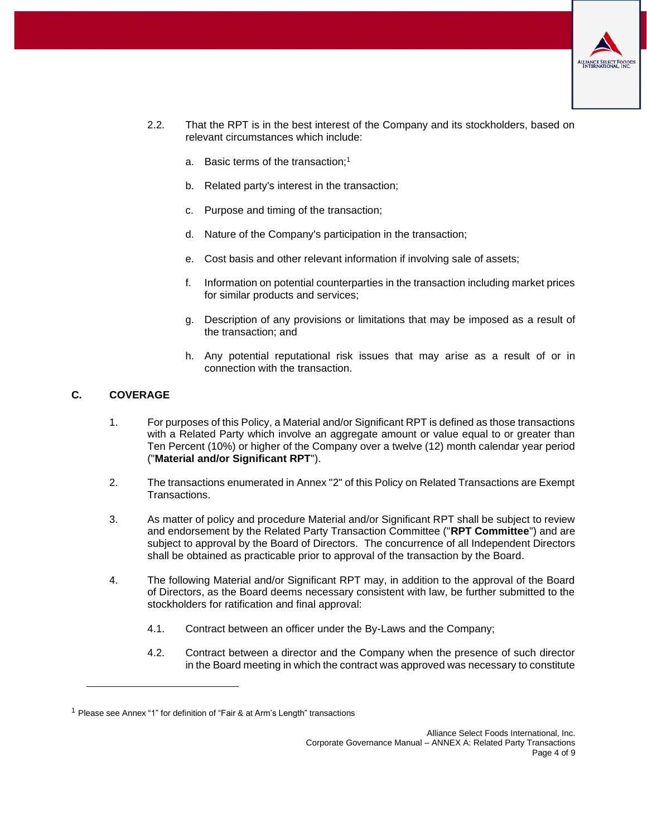

- 2.2. That the RPT is in the best interest of the Company and its stockholders, based on relevant circumstances which include:
	- a. Basic terms of the transaction;<sup>1</sup>
	- b. Related party's interest in the transaction;
	- c. Purpose and timing of the transaction;
	- d. Nature of the Company's participation in the transaction;
	- e. Cost basis and other relevant information if involving sale of assets;
	- f. Information on potential counterparties in the transaction including market prices for similar products and services;
	- g. Description of any provisions or limitations that may be imposed as a result of the transaction; and
	- h. Any potential reputational risk issues that may arise as a result of or in connection with the transaction.

### <span id="page-3-0"></span>**C. COVERAGE**

- 1. For purposes of this Policy, a Material and/or Significant RPT is defined as those transactions with a Related Party which involve an aggregate amount or value equal to or greater than Ten Percent (10%) or higher of the Company over a twelve (12) month calendar year period ("**Material and/or Significant RPT**").
- 2. The transactions enumerated in Annex "2" of this Policy on Related Transactions are Exempt Transactions.
- 3. As matter of policy and procedure Material and/or Significant RPT shall be subject to review and endorsement by the Related Party Transaction Committee ("**RPT Committee**") and are subject to approval by the Board of Directors. The concurrence of all Independent Directors shall be obtained as practicable prior to approval of the transaction by the Board.
- 4. The following Material and/or Significant RPT may, in addition to the approval of the Board of Directors, as the Board deems necessary consistent with law, be further submitted to the stockholders for ratification and final approval:
	- 4.1. Contract between an officer under the By-Laws and the Company;
	- 4.2. Contract between a director and the Company when the presence of such director in the Board meeting in which the contract was approved was necessary to constitute

<sup>&</sup>lt;sup>1</sup> Please see Annex "1" for definition of "Fair & at Arm's Length" transactions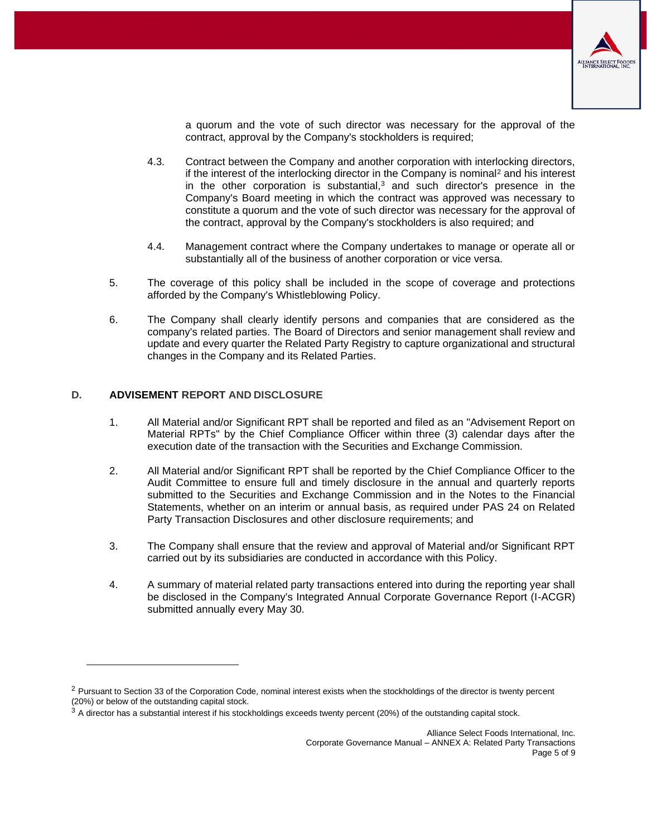

a quorum and the vote of such director was necessary for the approval of the contract, approval by the Company's stockholders is required;

- 4.3. Contract between the Company and another corporation with interlocking directors, if the interest of the interlocking director in the Company is nominal<sup>2</sup> and his interest in the other corporation is substantial, $3$  and such director's presence in the Company's Board meeting in which the contract was approved was necessary to constitute a quorum and the vote of such director was necessary for the approval of the contract, approval by the Company's stockholders is also required; and
- 4.4. Management contract where the Company undertakes to manage or operate all or substantially all of the business of another corporation or vice versa.
- 5. The coverage of this policy shall be included in the scope of coverage and protections afforded by the Company's Whistleblowing Policy.
- 6. The Company shall clearly identify persons and companies that are considered as the company's related parties. The Board of Directors and senior management shall review and update and every quarter the Related Party Registry to capture organizational and structural changes in the Company and its Related Parties.

#### <span id="page-4-0"></span>**D. ADVISEMENT REPORT AND DISCLOSURE**

- 1. All Material and/or Significant RPT shall be reported and filed as an "Advisement Report on Material RPTs" by the Chief Compliance Officer within three (3) calendar days after the execution date of the transaction with the Securities and Exchange Commission.
- 2. All Material and/or Significant RPT shall be reported by the Chief Compliance Officer to the Audit Committee to ensure full and timely disclosure in the annual and quarterly reports submitted to the Securities and Exchange Commission and in the Notes to the Financial Statements, whether on an interim or annual basis, as required under PAS 24 on Related Party Transaction Disclosures and other disclosure requirements; and
- 3. The Company shall ensure that the review and approval of Material and/or Significant RPT carried out by its subsidiaries are conducted in accordance with this Policy.
- 4. A summary of material related party transactions entered into during the reporting year shall be disclosed in the Company's Integrated Annual Corporate Governance Report (I-ACGR) submitted annually every May 30.

<sup>&</sup>lt;sup>2</sup> Pursuant to Section 33 of the Corporation Code, nominal interest exists when the stockholdings of the director is twenty percent (20%) or below of the outstanding capital stock.

 $3$  A director has a substantial interest if his stockholdings exceeds twenty percent (20%) of the outstanding capital stock.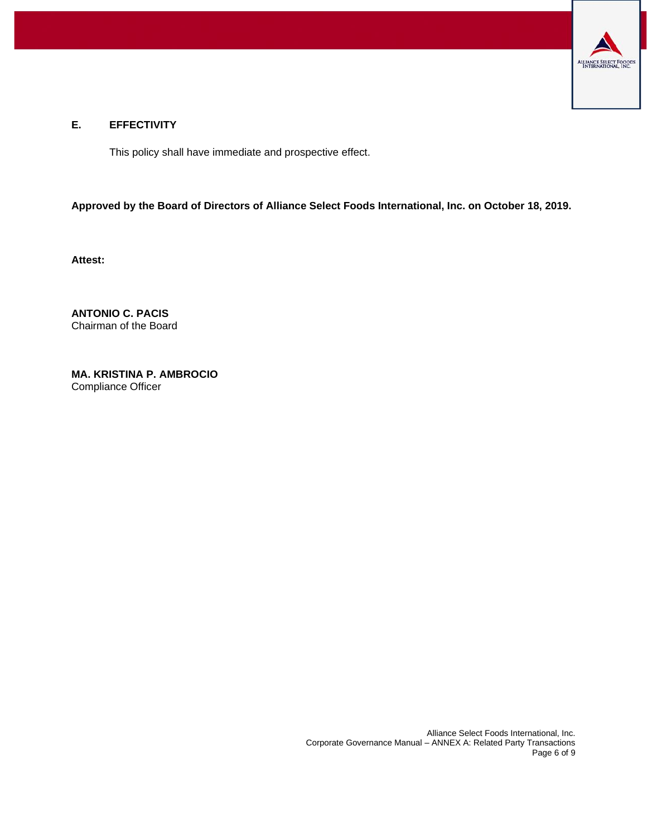

# <span id="page-5-0"></span>**E. EFFECTIVITY**

This policy shall have immediate and prospective effect.

**Approved by the Board of Directors of Alliance Select Foods International, Inc. on October 18, 2019.**

**Attest:**

**ANTONIO C. PACIS** Chairman of the Board

**MA. KRISTINA P. AMBROCIO** Compliance Officer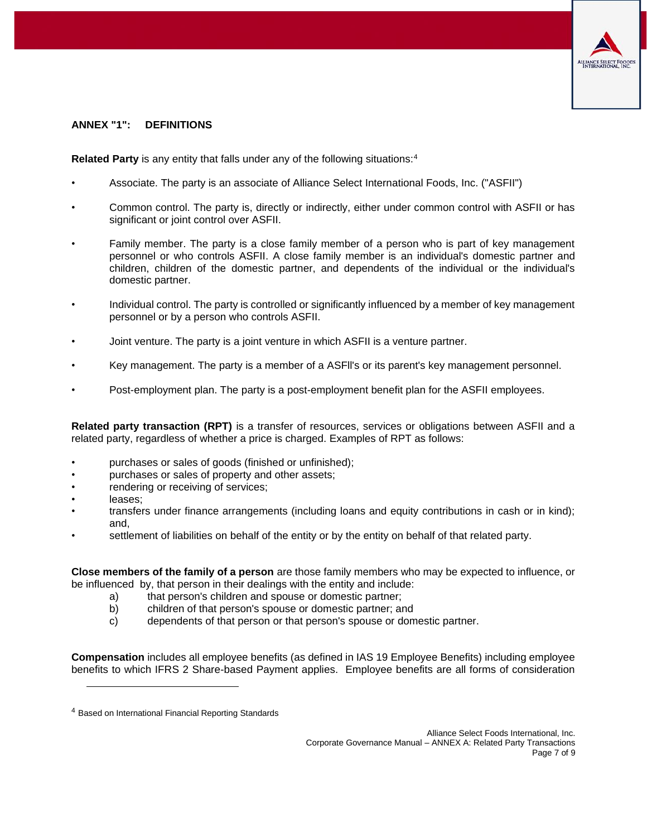

#### <span id="page-6-0"></span>**ANNEX "1": DEFINITIONS**

**Related Party** is any entity that falls under any of the following situations:<sup>4</sup>

- Associate. The party is an associate of Alliance Select International Foods, Inc. ("ASFII")
- Common control. The party is, directly or indirectly, either under common control with ASFII or has significant or joint control over ASFII.
- Family member. The party is a close family member of a person who is part of key management personnel or who controls ASFII. A close family member is an individual's domestic partner and children, children of the domestic partner, and dependents of the individual or the individual's domestic partner.
- Individual control. The party is controlled or significantly influenced by a member of key management personnel or by a person who controls ASFII.
- Joint venture. The party is a joint venture in which ASFII is a venture partner.
- Key management. The party is a member of a ASFll's or its parent's key management personnel.
- Post-employment plan. The party is a post-employment benefit plan for the ASFII employees.

**Related party transaction (RPT)** is a transfer of resources, services or obligations between ASFII and a related party, regardless of whether a price is charged. Examples of RPT as follows:

- purchases or sales of goods (finished or unfinished);
- purchases or sales of property and other assets;
- rendering or receiving of services;
- leases:
- transfers under finance arrangements (including loans and equity contributions in cash or in kind); and,
- settlement of liabilities on behalf of the entity or by the entity on behalf of that related party.

**Close members of the family of a person** are those family members who may be expected to influence, or be influenced by, that person in their dealings with the entity and include:

- a) that person's children and spouse or domestic partner;
- b) children of that person's spouse or domestic partner; and
- c) dependents of that person or that person's spouse or domestic partner.

**Compensation** includes all employee benefits (as defined in IAS 19 Employee Benefits) including employee benefits to which IFRS 2 Share-based Payment applies. Employee benefits are all forms of consideration

<sup>4</sup> Based on International Financial Reporting Standards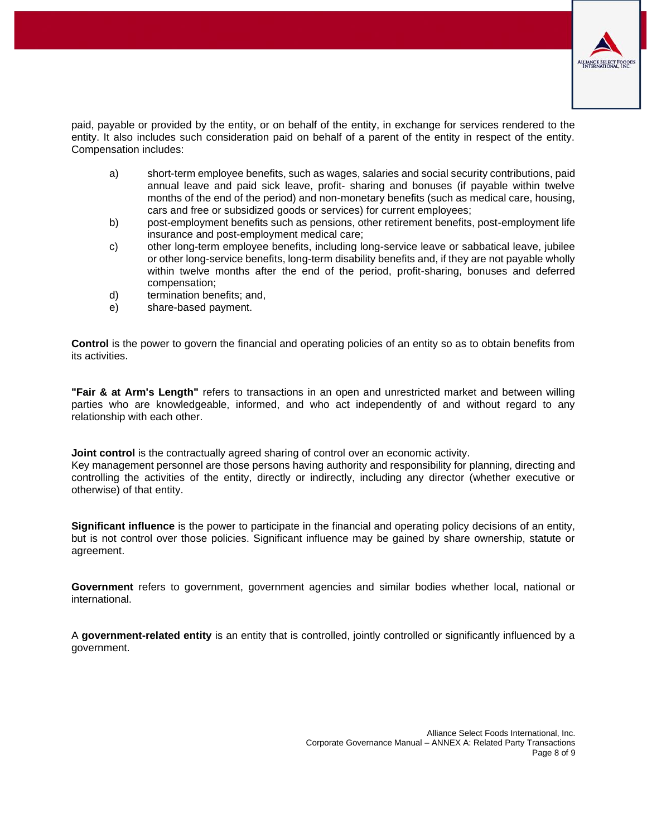

paid, payable or provided by the entity, or on behalf of the entity, in exchange for services rendered to the entity. It also includes such consideration paid on behalf of a parent of the entity in respect of the entity. Compensation includes:

- a) short-term employee benefits, such as wages, salaries and social security contributions, paid annual leave and paid sick leave, profit- sharing and bonuses (if payable within twelve months of the end of the period) and non-monetary benefits (such as medical care, housing, cars and free or subsidized goods or services) for current employees;
- b) post-employment benefits such as pensions, other retirement benefits, post-employment life insurance and post-employment medical care;
- c) other long-term employee benefits, including long-service leave or sabbatical leave, jubilee or other long-service benefits, long-term disability benefits and, if they are not payable wholly within twelve months after the end of the period, profit-sharing, bonuses and deferred compensation;
- d) termination benefits; and,
- e) share-based payment.

**Control** is the power to govern the financial and operating policies of an entity so as to obtain benefits from its activities.

**"Fair & at Arm's Length"** refers to transactions in an open and unrestricted market and between willing parties who are knowledgeable, informed, and who act independently of and without regard to any relationship with each other.

**Joint control** is the contractually agreed sharing of control over an economic activity.

Key management personnel are those persons having authority and responsibility for planning, directing and controlling the activities of the entity, directly or indirectly, including any director (whether executive or otherwise) of that entity.

**Significant influence** is the power to participate in the financial and operating policy decisions of an entity, but is not control over those policies. Significant influence may be gained by share ownership, statute or agreement.

**Government** refers to government, government agencies and similar bodies whether local, national or international.

A **government-related entity** is an entity that is controlled, jointly controlled or significantly influenced by a government.